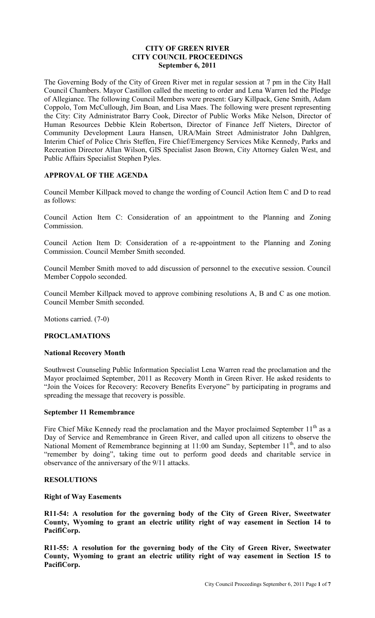## **CITY OF GREEN RIVER CITY COUNCIL PROCEEDINGS September 6, 2011**

The Governing Body of the City of Green River met in regular session at 7 pm in the City Hall Council Chambers. Mayor Castillon called the meeting to order and Lena Warren led the Pledge of Allegiance. The following Council Members were present: Gary Killpack, Gene Smith, Adam Coppolo, Tom McCullough, Jim Boan, and Lisa Maes. The following were present representing the City: City Administrator Barry Cook, Director of Public Works Mike Nelson, Director of Human Resources Debbie Klein Robertson, Director of Finance Jeff Nieters, Director of Community Development Laura Hansen, URA/Main Street Administrator John Dahlgren, Interim Chief of Police Chris Steffen, Fire Chief/Emergency Services Mike Kennedy, Parks and Recreation Director Allan Wilson, GIS Specialist Jason Brown, City Attorney Galen West, and Public Affairs Specialist Stephen Pyles.

# **APPROVAL OF THE AGENDA**

Council Member Killpack moved to change the wording of Council Action Item C and D to read as follows:

Council Action Item C: Consideration of an appointment to the Planning and Zoning Commission.

Council Action Item D: Consideration of a re-appointment to the Planning and Zoning Commission. Council Member Smith seconded.

Council Member Smith moved to add discussion of personnel to the executive session. Council Member Coppolo seconded.

Council Member Killpack moved to approve combining resolutions A, B and C as one motion. Council Member Smith seconded.

Motions carried. (7-0)

## **PROCLAMATIONS**

#### **National Recovery Month**

Southwest Counseling Public Information Specialist Lena Warren read the proclamation and the Mayor proclaimed September, 2011 as Recovery Month in Green River. He asked residents to "Join the Voices for Recovery: Recovery Benefits Everyone" by participating in programs and spreading the message that recovery is possible.

#### **September 11 Remembrance**

Fire Chief Mike Kennedy read the proclamation and the Mayor proclaimed September  $11<sup>th</sup>$  as a Day of Service and Remembrance in Green River, and called upon all citizens to observe the National Moment of Remembrance beginning at 11:00 am Sunday, September 11<sup>th</sup>, and to also "remember by doing", taking time out to perform good deeds and charitable service in observance of the anniversary of the 9/11 attacks.

## **RESOLUTIONS**

#### **Right of Way Easements**

**R11-54: A resolution for the governing body of the City of Green River, Sweetwater County, Wyoming to grant an electric utility right of way easement in Section 14 to PacifiCorp.**

**R11-55: A resolution for the governing body of the City of Green River, Sweetwater County, Wyoming to grant an electric utility right of way easement in Section 15 to PacifiCorp.**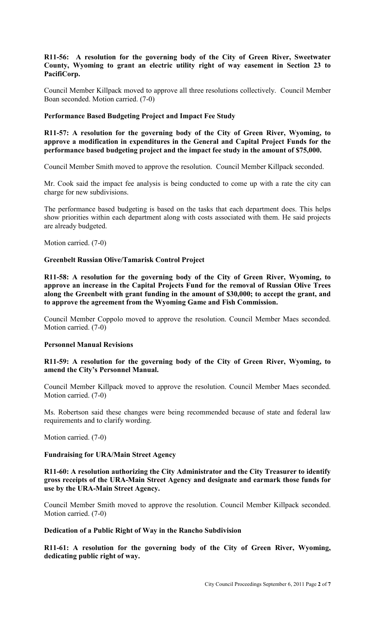# **R11-56: A resolution for the governing body of the City of Green River, Sweetwater County, Wyoming to grant an electric utility right of way easement in Section 23 to PacifiCorp.**

Council Member Killpack moved to approve all three resolutions collectively. Council Member Boan seconded. Motion carried. (7-0)

## **Performance Based Budgeting Project and Impact Fee Study**

**R11-57: A resolution for the governing body of the City of Green River, Wyoming, to approve a modification in expenditures in the General and Capital Project Funds for the performance based budgeting project and the impact fee study in the amount of \$75,000.** 

Council Member Smith moved to approve the resolution. Council Member Killpack seconded.

Mr. Cook said the impact fee analysis is being conducted to come up with a rate the city can charge for new subdivisions.

The performance based budgeting is based on the tasks that each department does. This helps show priorities within each department along with costs associated with them. He said projects are already budgeted.

Motion carried. (7-0)

## **Greenbelt Russian Olive/Tamarisk Control Project**

**R11-58: A resolution for the governing body of the City of Green River, Wyoming, to approve an increase in the Capital Projects Fund for the removal of Russian Olive Trees along the Greenbelt with grant funding in the amount of \$30,000; to accept the grant, and to approve the agreement from the Wyoming Game and Fish Commission.** 

Council Member Coppolo moved to approve the resolution. Council Member Maes seconded. Motion carried. (7-0)

## **Personnel Manual Revisions**

## **R11-59: A resolution for the governing body of the City of Green River, Wyoming, to amend the City's Personnel Manual.**

Council Member Killpack moved to approve the resolution. Council Member Maes seconded. Motion carried. (7-0)

Ms. Robertson said these changes were being recommended because of state and federal law requirements and to clarify wording.

Motion carried. (7-0)

## **Fundraising for URA/Main Street Agency**

**R11-60: A resolution authorizing the City Administrator and the City Treasurer to identify gross receipts of the URA-Main Street Agency and designate and earmark those funds for use by the URA-Main Street Agency.** 

Council Member Smith moved to approve the resolution. Council Member Killpack seconded. Motion carried. (7-0)

## **Dedication of a Public Right of Way in the Rancho Subdivision**

**R11-61: A resolution for the governing body of the City of Green River, Wyoming, dedicating public right of way.**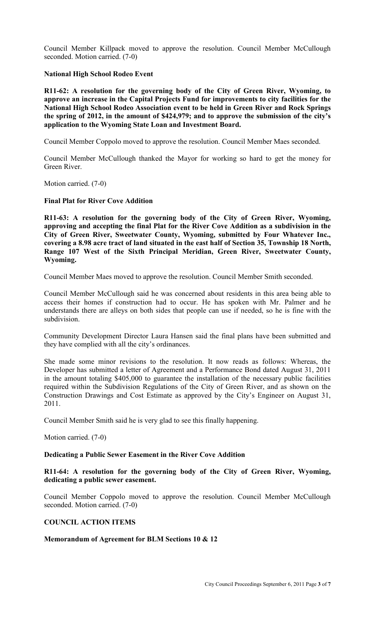Council Member Killpack moved to approve the resolution. Council Member McCullough seconded. Motion carried. (7-0)

## **National High School Rodeo Event**

**R11-62: A resolution for the governing body of the City of Green River, Wyoming, to approve an increase in the Capital Projects Fund for improvements to city facilities for the National High School Rodeo Association event to be held in Green River and Rock Springs the spring of 2012, in the amount of \$424,979; and to approve the submission of the city's application to the Wyoming State Loan and Investment Board.** 

Council Member Coppolo moved to approve the resolution. Council Member Maes seconded.

Council Member McCullough thanked the Mayor for working so hard to get the money for Green River.

Motion carried. (7-0)

# **Final Plat for River Cove Addition**

**R11-63: A resolution for the governing body of the City of Green River, Wyoming, approving and accepting the final Plat for the River Cove Addition as a subdivision in the City of Green River, Sweetwater County, Wyoming, submitted by Four Whatever Inc., covering a 8.98 acre tract of land situated in the east half of Section 35, Township 18 North, Range 107 West of the Sixth Principal Meridian, Green River, Sweetwater County, Wyoming.** 

Council Member Maes moved to approve the resolution. Council Member Smith seconded.

Council Member McCullough said he was concerned about residents in this area being able to access their homes if construction had to occur. He has spoken with Mr. Palmer and he understands there are alleys on both sides that people can use if needed, so he is fine with the subdivision.

Community Development Director Laura Hansen said the final plans have been submitted and they have complied with all the city's ordinances.

She made some minor revisions to the resolution. It now reads as follows: Whereas, the Developer has submitted a letter of Agreement and a Performance Bond dated August 31, 2011 in the amount totaling \$405,000 to guarantee the installation of the necessary public facilities required within the Subdivision Regulations of the City of Green River, and as shown on the Construction Drawings and Cost Estimate as approved by the City's Engineer on August 31, 2011.

Council Member Smith said he is very glad to see this finally happening.

Motion carried. (7-0)

#### **Dedicating a Public Sewer Easement in the River Cove Addition**

**R11-64: A resolution for the governing body of the City of Green River, Wyoming, dedicating a public sewer easement.** 

Council Member Coppolo moved to approve the resolution. Council Member McCullough seconded. Motion carried. (7-0)

## **COUNCIL ACTION ITEMS**

#### **Memorandum of Agreement for BLM Sections 10 & 12**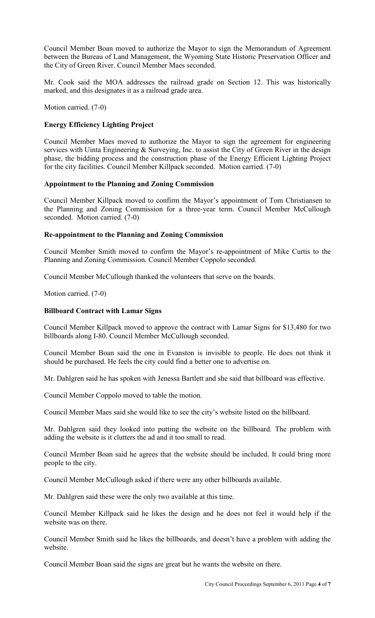Council Member Boan moved to authorize the Mayor to sign the Memorandum of Agreement between the Bureau of Land Management, the Wyoming State Historic Preservation Officer and the City of Green River. Council Member Maes seconded.

Mr. Cook said the MOA addresses the railroad grade on Section 12. This was historically marked, and this designates it as a railroad grade area.

Motion carried. (7-0)

## **Energy Efficiency Lighting Project**

Council Member Maes moved to authorize the Mayor to sign the agreement for engineering services with Uinta Engineering & Surveying, Inc. to assist the City of Green River in the design phase, the bidding process and the construction phase of the Energy Efficient Lighting Project for the city facilities. Council Member Killpack seconded. Motion carried. (7-0)

## **Appointment to the Planning and Zoning Commission**

Council Member Killpack moved to confirm the Mayor's appointment of Tom Christiansen to the Planning and Zoning Commission for a three-year term. Council Member McCullough seconded. Motion carried. (7-0)

## **Re-appointment to the Planning and Zoning Commission**

Council Member Smith moved to confirm the Mayor's re-appointment of Mike Curtis to the Planning and Zoning Commission. Council Member Coppolo seconded.

Council Member McCullough thanked the volunteers that serve on the boards.

Motion carried. (7-0)

### **Billboard Contract with Lamar Signs**

Council Member Killpack moved to approve the contract with Lamar Signs for \$13,480 for two billboards along I-80. Council Member McCullough seconded.

Council Member Boan said the one in Evanston is invisible to people. He does not think it should be purchased. He feels the city could find a better one to advertise on.

Mr. Dahlgren said he has spoken with Jenessa Bartlett and she said that billboard was effective.

Council Member Coppolo moved to table the motion.

Council Member Maes said she would like to see the city's website listed on the billboard.

Mr. Dahlgren said they looked into putting the website on the billboard. The problem with adding the website is it clutters the ad and it too small to read.

Council Member Boan said he agrees that the website should be included. It could bring more people to the city.

Council Member McCullough asked if there were any other billboards available.

Mr. Dahlgren said these were the only two available at this time.

Council Member Killpack said he likes the design and he does not feel it would help if the website was on there.

Council Member Smith said he likes the billboards, and doesn't have a problem with adding the website.

Council Member Boan said the signs are great but he wants the website on there.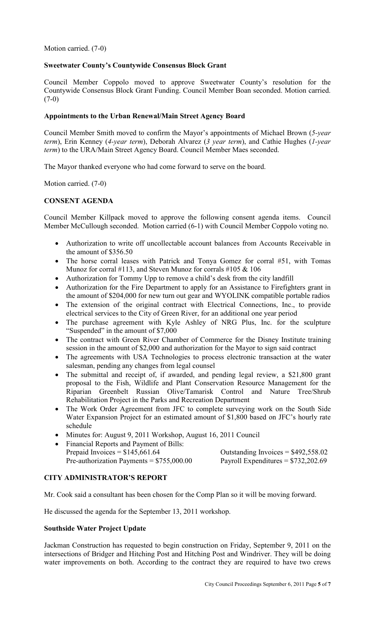Motion carried. (7-0)

# **Sweetwater County's Countywide Consensus Block Grant**

Council Member Coppolo moved to approve Sweetwater County's resolution for the Countywide Consensus Block Grant Funding. Council Member Boan seconded. Motion carried.  $(7-0)$ 

# **Appointments to the Urban Renewal/Main Street Agency Board**

Council Member Smith moved to confirm the Mayor's appointments of Michael Brown (*5-year term*), Erin Kenney (*4-year term*), Deborah Alvarez (*3 year term*), and Cathie Hughes (*1-year term*) to the URA/Main Street Agency Board. Council Member Maes seconded.

The Mayor thanked everyone who had come forward to serve on the board.

Motion carried. (7-0)

# **CONSENT AGENDA**

Council Member Killpack moved to approve the following consent agenda items. Council Member McCullough seconded. Motion carried (6-1) with Council Member Coppolo voting no.

- Authorization to write off uncollectable account balances from Accounts Receivable in the amount of \$356.50
- The horse corral leases with Patrick and Tonya Gomez for corral #51, with Tomas Munoz for corral #113, and Steven Munoz for corrals #105 & 106
- Authorization for Tommy Upp to remove a child's desk from the city landfill
- Authorization for the Fire Department to apply for an Assistance to Firefighters grant in the amount of \$204,000 for new turn out gear and WYOLINK compatible portable radios
- The extension of the original contract with Electrical Connections, Inc., to provide electrical services to the City of Green River, for an additional one year period
- The purchase agreement with Kyle Ashley of NRG Plus, Inc. for the sculpture "Suspended" in the amount of \$7,000
- The contract with Green River Chamber of Commerce for the Disney Institute training session in the amount of \$2,000 and authorization for the Mayor to sign said contract
- The agreements with USA Technologies to process electronic transaction at the water salesman, pending any changes from legal counsel
- The submittal and receipt of, if awarded, and pending legal review, a \$21,800 grant proposal to the Fish, Wildlife and Plant Conservation Resource Management for the Riparian Greenbelt Russian Olive/Tamarisk Control and Nature Tree/Shrub Rehabilitation Project in the Parks and Recreation Department
- The Work Order Agreement from JFC to complete surveying work on the South Side Water Expansion Project for an estimated amount of \$1,800 based on JFC's hourly rate schedule
- Minutes for: August 9, 2011 Workshop, August 16, 2011 Council
- Financial Reports and Payment of Bills:<br>Prepaid Invoices =  $$145,661.64$ Pre-authorization Payments = \$755,000.00 Payroll Expenditures = \$732,202.69

Outstanding Invoices =  $$492,558.02$ 

# **CITY ADMINISTRATOR'S REPORT**

Mr. Cook said a consultant has been chosen for the Comp Plan so it will be moving forward.

He discussed the agenda for the September 13, 2011 workshop.

## **Southside Water Project Update**

Jackman Construction has requested to begin construction on Friday, September 9, 2011 on the intersections of Bridger and Hitching Post and Hitching Post and Windriver. They will be doing water improvements on both. According to the contract they are required to have two crews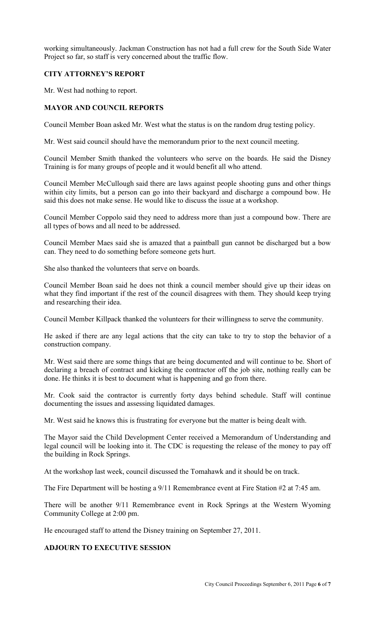working simultaneously. Jackman Construction has not had a full crew for the South Side Water Project so far, so staff is very concerned about the traffic flow.

# **CITY ATTORNEY'S REPORT**

Mr. West had nothing to report.

## **MAYOR AND COUNCIL REPORTS**

Council Member Boan asked Mr. West what the status is on the random drug testing policy.

Mr. West said council should have the memorandum prior to the next council meeting.

Council Member Smith thanked the volunteers who serve on the boards. He said the Disney Training is for many groups of people and it would benefit all who attend.

Council Member McCullough said there are laws against people shooting guns and other things within city limits, but a person can go into their backyard and discharge a compound bow. He said this does not make sense. He would like to discuss the issue at a workshop.

Council Member Coppolo said they need to address more than just a compound bow. There are all types of bows and all need to be addressed.

Council Member Maes said she is amazed that a paintball gun cannot be discharged but a bow can. They need to do something before someone gets hurt.

She also thanked the volunteers that serve on boards.

Council Member Boan said he does not think a council member should give up their ideas on what they find important if the rest of the council disagrees with them. They should keep trying and researching their idea.

Council Member Killpack thanked the volunteers for their willingness to serve the community.

He asked if there are any legal actions that the city can take to try to stop the behavior of a construction company.

Mr. West said there are some things that are being documented and will continue to be. Short of declaring a breach of contract and kicking the contractor off the job site, nothing really can be done. He thinks it is best to document what is happening and go from there.

Mr. Cook said the contractor is currently forty days behind schedule. Staff will continue documenting the issues and assessing liquidated damages.

Mr. West said he knows this is frustrating for everyone but the matter is being dealt with.

The Mayor said the Child Development Center received a Memorandum of Understanding and legal council will be looking into it. The CDC is requesting the release of the money to pay off the building in Rock Springs.

At the workshop last week, council discussed the Tomahawk and it should be on track.

The Fire Department will be hosting a 9/11 Remembrance event at Fire Station #2 at 7:45 am.

There will be another 9/11 Remembrance event in Rock Springs at the Western Wyoming Community College at 2:00 pm.

He encouraged staff to attend the Disney training on September 27, 2011.

# **ADJOURN TO EXECUTIVE SESSION**